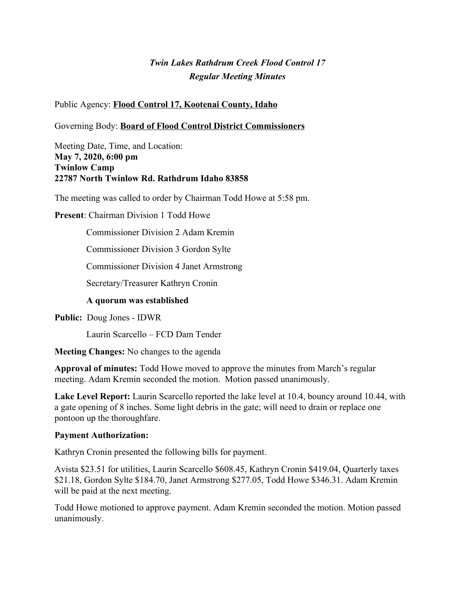# *Twin Lakes Rathdrum Creek Flood Control 17 Regular Meeting Minutes*

Public Agency: **Flood Control 17, Kootenai County, Idaho**

Governing Body: **Board of Flood Control District Commissioners**

Meeting Date, Time, and Location: **May 7, 2020, 6:00 pm Twinlow Camp 22787 North Twinlow Rd. Rathdrum Idaho 83858**

The meeting was called to order by Chairman Todd Howe at 5:58 pm.

**Present**: Chairman Division 1 Todd Howe

Commissioner Division 2 Adam Kremin

Commissioner Division 3 Gordon Sylte

Commissioner Division 4 Janet Armstrong

Secretary/Treasurer Kathryn Cronin

#### **A quorum was established**

**Public:** Doug Jones - IDWR

Laurin Scarcello – FCD Dam Tender

**Meeting Changes:** No changes to the agenda

**Approval of minutes:** Todd Howe moved to approve the minutes from March's regular meeting. Adam Kremin seconded the motion. Motion passed unanimously.

Lake Level Report: Laurin Scarcello reported the lake level at 10.4, bouncy around 10.44, with a gate opening of 8 inches. Some light debris in the gate; will need to drain or replace one pontoon up the thoroughfare.

#### **Payment Authorization:**

Kathryn Cronin presented the following bills for payment.

Avista \$23.51 for utilities, Laurin Scarcello \$608.45, Kathryn Cronin \$419.04, Quarterly taxes \$21.18, Gordon Sylte \$184.70, Janet Armstrong \$277.05, Todd Howe \$346.31. Adam Kremin will be paid at the next meeting.

Todd Howe motioned to approve payment. Adam Kremin seconded the motion. Motion passed unanimously.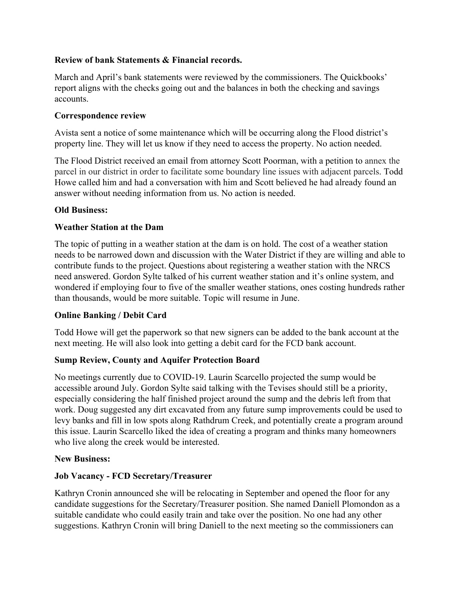### **Review of bank Statements & Financial records.**

March and April's bank statements were reviewed by the commissioners. The Quickbooks' report aligns with the checks going out and the balances in both the checking and savings accounts.

#### **Correspondence review**

Avista sent a notice of some maintenance which will be occurring along the Flood district's property line. They will let us know if they need to access the property. No action needed.

The Flood District received an email from attorney Scott Poorman, with a petition to annex the parcel in our district in order to facilitate some boundary line issues with adjacent parcels. Todd Howe called him and had a conversation with him and Scott believed he had already found an answer without needing information from us. No action is needed.

#### **Old Business:**

### **Weather Station at the Dam**

The topic of putting in a weather station at the dam is on hold. The cost of a weather station needs to be narrowed down and discussion with the Water District if they are willing and able to contribute funds to the project. Questions about registering a weather station with the NRCS need answered. Gordon Sylte talked of his current weather station and it's online system, and wondered if employing four to five of the smaller weather stations, ones costing hundreds rather than thousands, would be more suitable. Topic will resume in June.

## **Online Banking / Debit Card**

Todd Howe will get the paperwork so that new signers can be added to the bank account at the next meeting. He will also look into getting a debit card for the FCD bank account.

#### **Sump Review, County and Aquifer Protection Board**

No meetings currently due to COVID-19. Laurin Scarcello projected the sump would be accessible around July. Gordon Sylte said talking with the Tevises should still be a priority, especially considering the half finished project around the sump and the debris left from that work. Doug suggested any dirt excavated from any future sump improvements could be used to levy banks and fill in low spots along Rathdrum Creek, and potentially create a program around this issue. Laurin Scarcello liked the idea of creating a program and thinks many homeowners who live along the creek would be interested.

#### **New Business:**

#### **Job Vacancy - FCD Secretary/Treasurer**

Kathryn Cronin announced she will be relocating in September and opened the floor for any candidate suggestions for the Secretary/Treasurer position. She named Daniell Plomondon as a suitable candidate who could easily train and take over the position. No one had any other suggestions. Kathryn Cronin will bring Daniell to the next meeting so the commissioners can